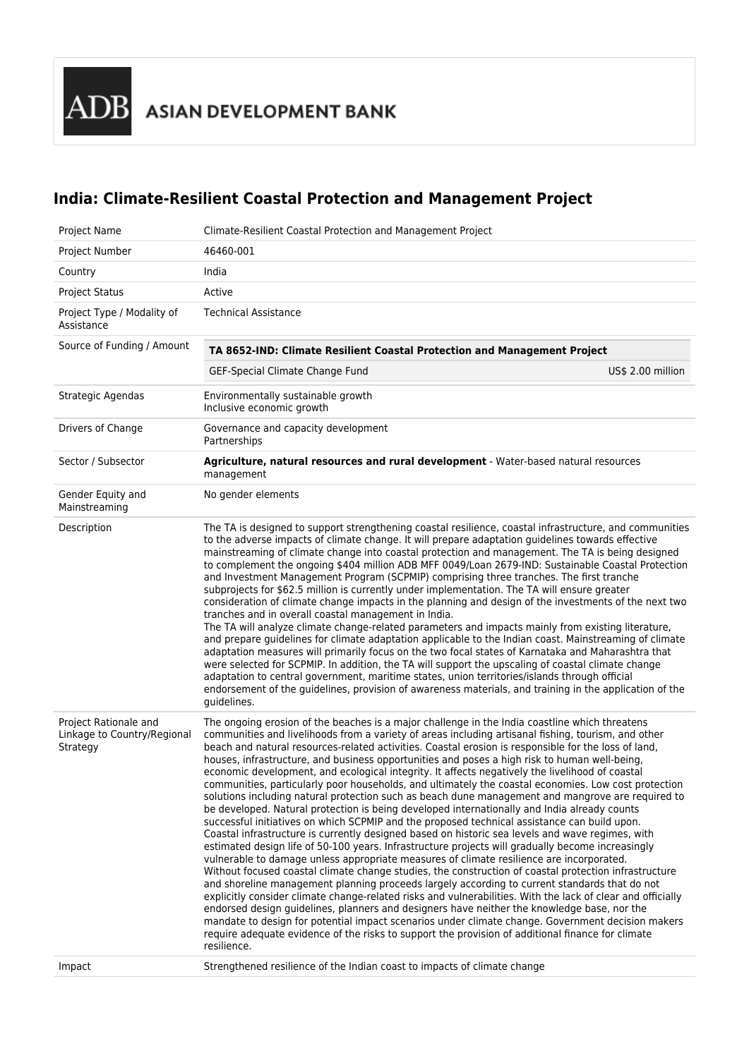ADB ASIAN DEVELOPMENT BANK

# **India: Climate-Resilient Coastal Protection and Management Project**

| Project Name                                                     | Climate-Resilient Coastal Protection and Management Project                                                                                                                                                                                                                                                                                                                                                                                                                                                                                                                                                                                                                                                                                                                                                                                                                                                                                                                                                                                                                                                                                                                                                                                                                                                                                                                                                                                                                                                                                                                                                                                                                                                                                                                                                                                                                          |  |  |  |  |  |  |
|------------------------------------------------------------------|--------------------------------------------------------------------------------------------------------------------------------------------------------------------------------------------------------------------------------------------------------------------------------------------------------------------------------------------------------------------------------------------------------------------------------------------------------------------------------------------------------------------------------------------------------------------------------------------------------------------------------------------------------------------------------------------------------------------------------------------------------------------------------------------------------------------------------------------------------------------------------------------------------------------------------------------------------------------------------------------------------------------------------------------------------------------------------------------------------------------------------------------------------------------------------------------------------------------------------------------------------------------------------------------------------------------------------------------------------------------------------------------------------------------------------------------------------------------------------------------------------------------------------------------------------------------------------------------------------------------------------------------------------------------------------------------------------------------------------------------------------------------------------------------------------------------------------------------------------------------------------------|--|--|--|--|--|--|
| Project Number                                                   | 46460-001                                                                                                                                                                                                                                                                                                                                                                                                                                                                                                                                                                                                                                                                                                                                                                                                                                                                                                                                                                                                                                                                                                                                                                                                                                                                                                                                                                                                                                                                                                                                                                                                                                                                                                                                                                                                                                                                            |  |  |  |  |  |  |
| Country                                                          | India                                                                                                                                                                                                                                                                                                                                                                                                                                                                                                                                                                                                                                                                                                                                                                                                                                                                                                                                                                                                                                                                                                                                                                                                                                                                                                                                                                                                                                                                                                                                                                                                                                                                                                                                                                                                                                                                                |  |  |  |  |  |  |
| <b>Project Status</b>                                            | Active                                                                                                                                                                                                                                                                                                                                                                                                                                                                                                                                                                                                                                                                                                                                                                                                                                                                                                                                                                                                                                                                                                                                                                                                                                                                                                                                                                                                                                                                                                                                                                                                                                                                                                                                                                                                                                                                               |  |  |  |  |  |  |
| Project Type / Modality of<br>Assistance                         | <b>Technical Assistance</b>                                                                                                                                                                                                                                                                                                                                                                                                                                                                                                                                                                                                                                                                                                                                                                                                                                                                                                                                                                                                                                                                                                                                                                                                                                                                                                                                                                                                                                                                                                                                                                                                                                                                                                                                                                                                                                                          |  |  |  |  |  |  |
| Source of Funding / Amount                                       | TA 8652-IND: Climate Resilient Coastal Protection and Management Project                                                                                                                                                                                                                                                                                                                                                                                                                                                                                                                                                                                                                                                                                                                                                                                                                                                                                                                                                                                                                                                                                                                                                                                                                                                                                                                                                                                                                                                                                                                                                                                                                                                                                                                                                                                                             |  |  |  |  |  |  |
|                                                                  | GEF-Special Climate Change Fund<br>US\$ 2.00 million                                                                                                                                                                                                                                                                                                                                                                                                                                                                                                                                                                                                                                                                                                                                                                                                                                                                                                                                                                                                                                                                                                                                                                                                                                                                                                                                                                                                                                                                                                                                                                                                                                                                                                                                                                                                                                 |  |  |  |  |  |  |
| Strategic Agendas                                                | Environmentally sustainable growth<br>Inclusive economic growth                                                                                                                                                                                                                                                                                                                                                                                                                                                                                                                                                                                                                                                                                                                                                                                                                                                                                                                                                                                                                                                                                                                                                                                                                                                                                                                                                                                                                                                                                                                                                                                                                                                                                                                                                                                                                      |  |  |  |  |  |  |
| Drivers of Change                                                | Governance and capacity development<br>Partnerships                                                                                                                                                                                                                                                                                                                                                                                                                                                                                                                                                                                                                                                                                                                                                                                                                                                                                                                                                                                                                                                                                                                                                                                                                                                                                                                                                                                                                                                                                                                                                                                                                                                                                                                                                                                                                                  |  |  |  |  |  |  |
| Sector / Subsector                                               | Agriculture, natural resources and rural development - Water-based natural resources<br>management                                                                                                                                                                                                                                                                                                                                                                                                                                                                                                                                                                                                                                                                                                                                                                                                                                                                                                                                                                                                                                                                                                                                                                                                                                                                                                                                                                                                                                                                                                                                                                                                                                                                                                                                                                                   |  |  |  |  |  |  |
| Gender Equity and<br>Mainstreaming                               | No gender elements                                                                                                                                                                                                                                                                                                                                                                                                                                                                                                                                                                                                                                                                                                                                                                                                                                                                                                                                                                                                                                                                                                                                                                                                                                                                                                                                                                                                                                                                                                                                                                                                                                                                                                                                                                                                                                                                   |  |  |  |  |  |  |
| Description                                                      | The TA is designed to support strengthening coastal resilience, coastal infrastructure, and communities<br>to the adverse impacts of climate change. It will prepare adaptation guidelines towards effective<br>mainstreaming of climate change into coastal protection and management. The TA is being designed<br>to complement the ongoing \$404 million ADB MFF 0049/Loan 2679-IND: Sustainable Coastal Protection<br>and Investment Management Program (SCPMIP) comprising three tranches. The first tranche<br>subprojects for \$62.5 million is currently under implementation. The TA will ensure greater<br>consideration of climate change impacts in the planning and design of the investments of the next two<br>tranches and in overall coastal management in India.<br>The TA will analyze climate change-related parameters and impacts mainly from existing literature,<br>and prepare guidelines for climate adaptation applicable to the Indian coast. Mainstreaming of climate<br>adaptation measures will primarily focus on the two focal states of Karnataka and Maharashtra that<br>were selected for SCPMIP. In addition, the TA will support the upscaling of coastal climate change<br>adaptation to central government, maritime states, union territories/islands through official<br>endorsement of the guidelines, provision of awareness materials, and training in the application of the<br>guidelines.                                                                                                                                                                                                                                                                                                                                                                                                                                            |  |  |  |  |  |  |
| Project Rationale and<br>Linkage to Country/Regional<br>Strategy | The ongoing erosion of the beaches is a major challenge in the India coastline which threatens<br>communities and livelihoods from a variety of areas including artisanal fishing, tourism, and other<br>beach and natural resources-related activities. Coastal erosion is responsible for the loss of land,<br>houses, infrastructure, and business opportunities and poses a high risk to human well-being,<br>economic development, and ecological integrity. It affects negatively the livelihood of coastal<br>communities, particularly poor households, and ultimately the coastal economies. Low cost protection<br>solutions including natural protection such as beach dune management and mangrove are required to<br>be developed. Natural protection is being developed internationally and India already counts<br>successful initiatives on which SCPMIP and the proposed technical assistance can build upon.<br>Coastal infrastructure is currently designed based on historic sea levels and wave regimes, with<br>estimated design life of 50-100 years. Infrastructure projects will gradually become increasingly<br>vulnerable to damage unless appropriate measures of climate resilience are incorporated.<br>Without focused coastal climate change studies, the construction of coastal protection infrastructure<br>and shoreline management planning proceeds largely according to current standards that do not<br>explicitly consider climate change-related risks and vulnerabilities. With the lack of clear and officially<br>endorsed design guidelines, planners and designers have neither the knowledge base, nor the<br>mandate to design for potential impact scenarios under climate change. Government decision makers<br>require adequate evidence of the risks to support the provision of additional finance for climate<br>resilience. |  |  |  |  |  |  |
| Impact                                                           | Strengthened resilience of the Indian coast to impacts of climate change                                                                                                                                                                                                                                                                                                                                                                                                                                                                                                                                                                                                                                                                                                                                                                                                                                                                                                                                                                                                                                                                                                                                                                                                                                                                                                                                                                                                                                                                                                                                                                                                                                                                                                                                                                                                             |  |  |  |  |  |  |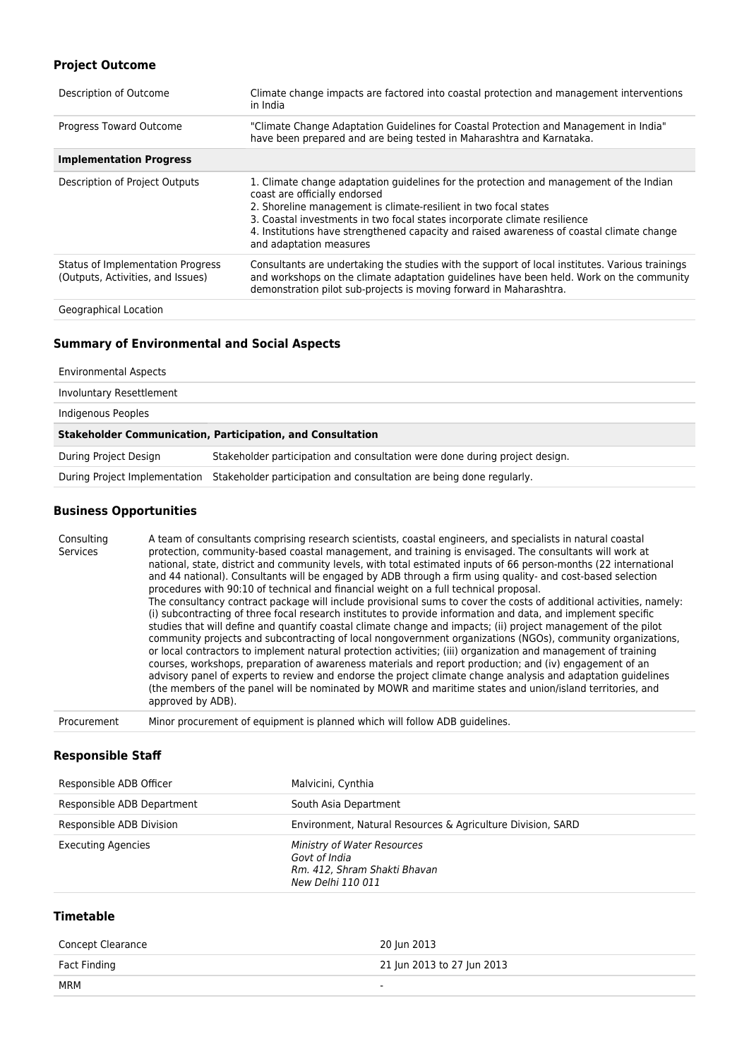# **Project Outcome**

| Description of Outcome                                                 | Climate change impacts are factored into coastal protection and management interventions<br>in India                                                                                                                                                                                                                                                                                              |
|------------------------------------------------------------------------|---------------------------------------------------------------------------------------------------------------------------------------------------------------------------------------------------------------------------------------------------------------------------------------------------------------------------------------------------------------------------------------------------|
| Progress Toward Outcome                                                | "Climate Change Adaptation Guidelines for Coastal Protection and Management in India"<br>have been prepared and are being tested in Maharashtra and Karnataka.                                                                                                                                                                                                                                    |
| <b>Implementation Progress</b>                                         |                                                                                                                                                                                                                                                                                                                                                                                                   |
| Description of Project Outputs                                         | 1. Climate change adaptation guidelines for the protection and management of the Indian<br>coast are officially endorsed<br>2. Shoreline management is climate-resilient in two focal states<br>3. Coastal investments in two focal states incorporate climate resilience<br>4. Institutions have strengthened capacity and raised awareness of coastal climate change<br>and adaptation measures |
| Status of Implementation Progress<br>(Outputs, Activities, and Issues) | Consultants are undertaking the studies with the support of local institutes. Various trainings<br>and workshops on the climate adaptation guidelines have been held. Work on the community<br>demonstration pilot sub-projects is moving forward in Maharashtra.                                                                                                                                 |
| Geographical Location                                                  |                                                                                                                                                                                                                                                                                                                                                                                                   |

# **Summary of Environmental and Social Aspects**

#### Environmental Aspects

| Involuntary Resettlement                                          |                                                                                                    |  |  |
|-------------------------------------------------------------------|----------------------------------------------------------------------------------------------------|--|--|
| Indigenous Peoples                                                |                                                                                                    |  |  |
| <b>Stakeholder Communication, Participation, and Consultation</b> |                                                                                                    |  |  |
| During Project Design                                             | Stakeholder participation and consultation were done during project design.                        |  |  |
|                                                                   | During Project Implementation Stakeholder participation and consultation are being done regularly. |  |  |

#### **Business Opportunities**

Consulting Services A team of consultants comprising research scientists, coastal engineers, and specialists in natural coastal protection, community-based coastal management, and training is envisaged. The consultants will work at national, state, district and community levels, with total estimated inputs of 66 person-months (22 international and 44 national). Consultants will be engaged by ADB through a firm using quality- and cost-based selection procedures with 90:10 of technical and financial weight on a full technical proposal. The consultancy contract package will include provisional sums to cover the costs of additional activities, namely: (i) subcontracting of three focal research institutes to provide information and data, and implement specific studies that will define and quantify coastal climate change and impacts; (ii) project management of the pilot community projects and subcontracting of local nongovernment organizations (NGOs), community organizations, or local contractors to implement natural protection activities; (iii) organization and management of training courses, workshops, preparation of awareness materials and report production; and (iv) engagement of an advisory panel of experts to review and endorse the project climate change analysis and adaptation guidelines (the members of the panel will be nominated by MOWR and maritime states and union/island territories, and approved by ADB). Procurement Minor procurement of equipment is planned which will follow ADB guidelines.

### **Responsible Staff**

| Responsible ADB Officer    | Malvicini, Cynthia                                                                                       |
|----------------------------|----------------------------------------------------------------------------------------------------------|
| Responsible ADB Department | South Asia Department                                                                                    |
| Responsible ADB Division   | Environment, Natural Resources & Agriculture Division, SARD                                              |
| <b>Executing Agencies</b>  | <b>Ministry of Water Resources</b><br>Govt of India<br>Rm. 412, Shram Shakti Bhavan<br>New Delhi 110 011 |

## **Timetable**

| Concept Clearance | 20 Jun 2013                |
|-------------------|----------------------------|
| Fact Finding      | 21 Jun 2013 to 27 Jun 2013 |
| MRM               | $\overline{\phantom{a}}$   |